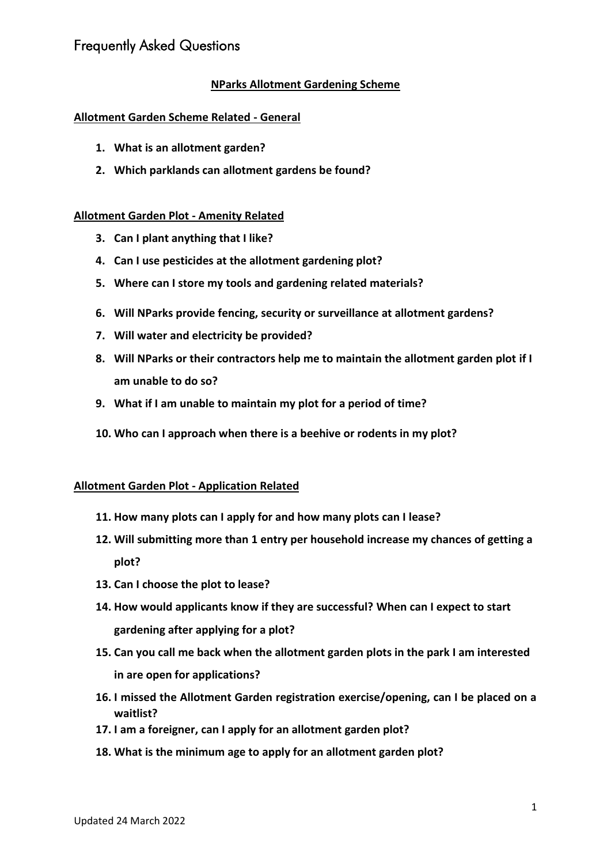## **NParks Allotment Gardening Scheme**

#### **Allotment Garden Scheme Related - General**

- **1. What is an allotment garden?**
- **2. Which parklands can allotment gardens be found?**

#### **Allotment Garden Plot - Amenity Related**

- **3. Can I plant anything that I like?**
- **4. Can I use pesticides at the allotment gardening plot?**
- **5. Where can I store my tools and gardening related materials?**
- **6. Will NParks provide fencing, security or surveillance at allotment gardens?**
- **7. Will water and electricity be provided?**
- **8. Will NParks or their contractors help me to maintain the allotment garden plot if I am unable to do so?**
- **9. What if I am unable to maintain my plot for a period of time?**
- **10. Who can I approach when there is a beehive or rodents in my plot?**

#### **Allotment Garden Plot - Application Related**

- **11. How many plots can I apply for and how many plots can I lease?**
- **12. Will submitting more than 1 entry per household increase my chances of getting a plot?**
- **13. Can I choose the plot to lease?**
- **14. How would applicants know if they are successful? When can I expect to start gardening after applying for a plot?**
- **15. Can you call me back when the allotment garden plots in the park I am interested in are open for applications?**
- **16. I missed the Allotment Garden registration exercise/opening, can I be placed on a waitlist?**
- **17. I am a foreigner, can I apply for an allotment garden plot?**
- **18. What is the minimum age to apply for an allotment garden plot?**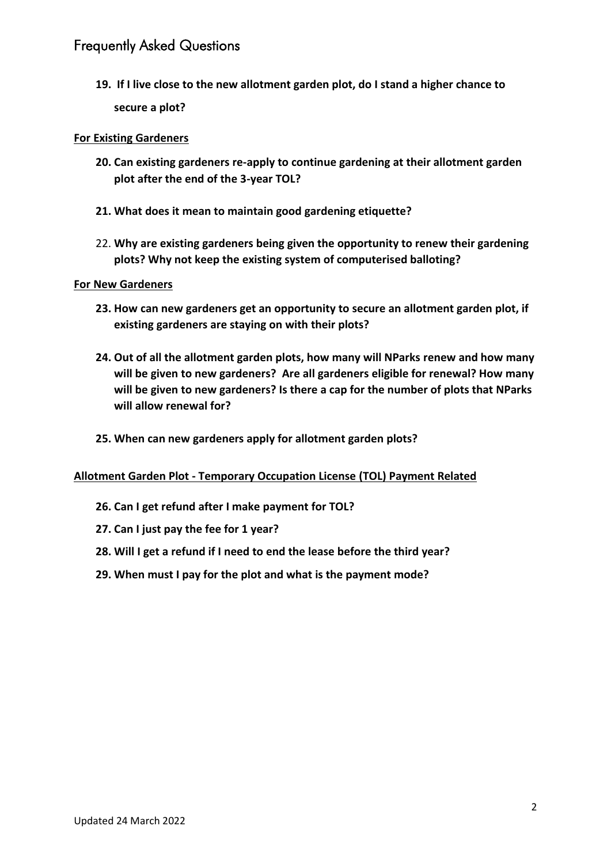**19. If I live close to the new allotment garden plot, do I stand a higher chance to secure a plot?**

## **For Existing Gardeners**

- **20. Can existing gardeners re-apply to continue gardening at their allotment garden plot after the end of the 3-year TOL?**
- **21. What does it mean to maintain good gardening etiquette?**
- 22. **Why are existing gardeners being given the opportunity to renew their gardening plots? Why not keep the existing system of computerised balloting?**

#### **For New Gardeners**

- **23. How can new gardeners get an opportunity to secure an allotment garden plot, if existing gardeners are staying on with their plots?**
- **24. Out of all the allotment garden plots, how many will NParks renew and how many will be given to new gardeners? Are all gardeners eligible for renewal? How many will be given to new gardeners? Is there a cap for the number of plots that NParks will allow renewal for?**
- **25. When can new gardeners apply for allotment garden plots?**

#### **Allotment Garden Plot - Temporary Occupation License (TOL) Payment Related**

- **26. Can I get refund after I make payment for TOL?**
- **27. Can I just pay the fee for 1 year?**
- **28. Will I get a refund if I need to end the lease before the third year?**
- **29. When must I pay for the plot and what is the payment mode?**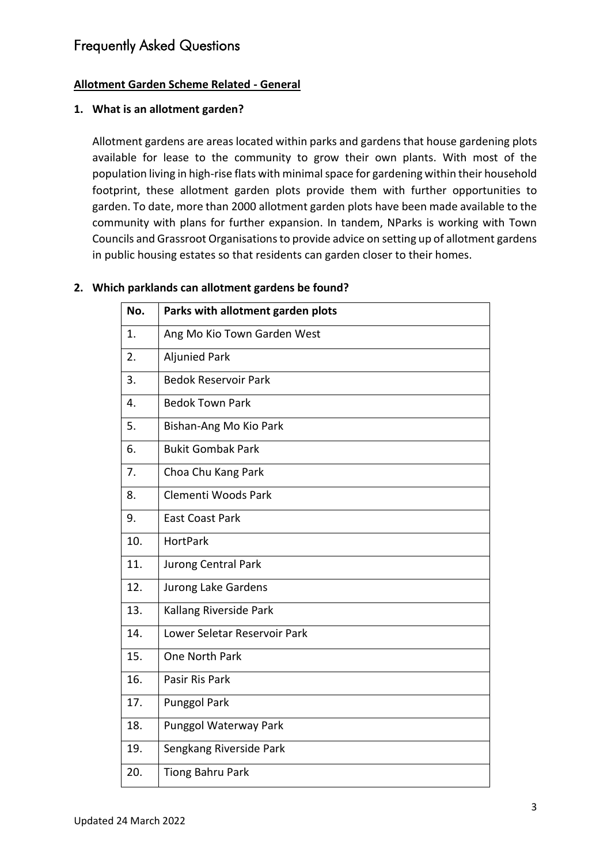## **Allotment Garden Scheme Related - General**

#### **1. What is an allotment garden?**

Allotment gardens are areas located within parks and gardens that house gardening plots available for lease to the community to grow their own plants. With most of the population living in high-rise flats with minimal space for gardening within their household footprint, these allotment garden plots provide them with further opportunities to garden. To date, more than 2000 allotment garden plots have been made available to the community with plans for further expansion. In tandem, NParks is working with Town Councils and Grassroot Organisations to provide advice on setting up of allotment gardens in public housing estates so that residents can garden closer to their homes.

## **2. Which parklands can allotment gardens be found?**

| No. | Parks with allotment garden plots |
|-----|-----------------------------------|
| 1.  | Ang Mo Kio Town Garden West       |
| 2.  | <b>Aljunied Park</b>              |
| 3.  | <b>Bedok Reservoir Park</b>       |
| 4.  | <b>Bedok Town Park</b>            |
| 5.  | Bishan-Ang Mo Kio Park            |
| 6.  | <b>Bukit Gombak Park</b>          |
| 7.  | Choa Chu Kang Park                |
| 8.  | Clementi Woods Park               |
| 9.  | <b>East Coast Park</b>            |
| 10. | <b>HortPark</b>                   |
| 11. | Jurong Central Park               |
| 12. | Jurong Lake Gardens               |
| 13. | Kallang Riverside Park            |
| 14. | Lower Seletar Reservoir Park      |
| 15. | <b>One North Park</b>             |
| 16. | Pasir Ris Park                    |
| 17. | <b>Punggol Park</b>               |
| 18. | Punggol Waterway Park             |
| 19. | Sengkang Riverside Park           |
| 20. | <b>Tiong Bahru Park</b>           |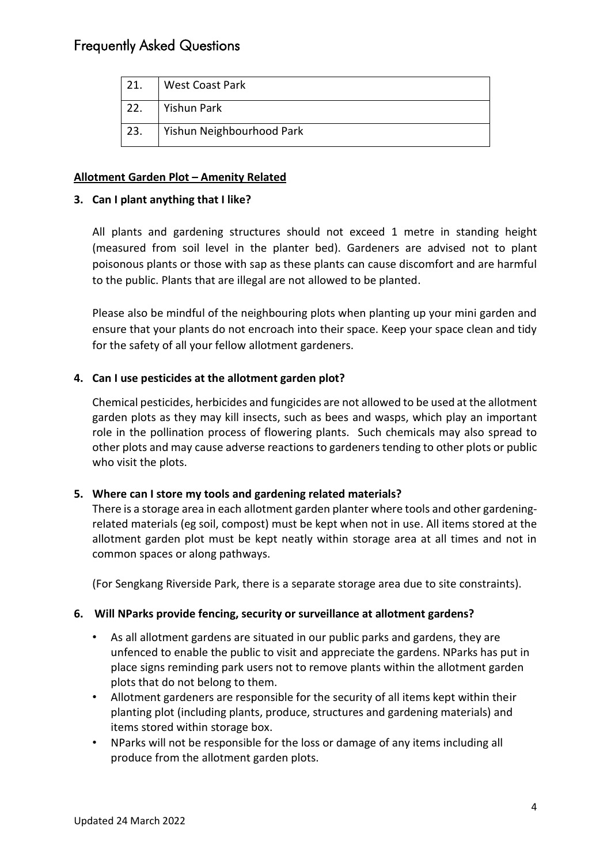| 21. | <b>West Coast Park</b>    |
|-----|---------------------------|
| 22. | Yishun Park               |
| 23. | Yishun Neighbourhood Park |

## **Allotment Garden Plot – Amenity Related**

## **3. Can I plant anything that I like?**

All plants and gardening structures should not exceed 1 metre in standing height (measured from soil level in the planter bed). Gardeners are advised not to plant poisonous plants or those with sap as these plants can cause discomfort and are harmful to the public. Plants that are illegal are not allowed to be planted.

Please also be mindful of the neighbouring plots when planting up your mini garden and ensure that your plants do not encroach into their space. Keep your space clean and tidy for the safety of all your fellow allotment gardeners.

## **4. Can I use pesticides at the allotment garden plot?**

Chemical pesticides, herbicides and fungicides are not allowed to be used at the allotment garden plots as they may kill insects, such as bees and wasps, which play an important role in the pollination process of flowering plants. Such chemicals may also spread to other plots and may cause adverse reactions to gardeners tending to other plots or public who visit the plots.

## **5. Where can I store my tools and gardening related materials?**

There is a storage area in each allotment garden planter where tools and other gardeningrelated materials (eg soil, compost) must be kept when not in use. All items stored at the allotment garden plot must be kept neatly within storage area at all times and not in common spaces or along pathways.

(For Sengkang Riverside Park, there is a separate storage area due to site constraints).

## **6. Will NParks provide fencing, security or surveillance at allotment gardens?**

- As all allotment gardens are situated in our public parks and gardens, they are unfenced to enable the public to visit and appreciate the gardens. NParks has put in place signs reminding park users not to remove plants within the allotment garden plots that do not belong to them.
- Allotment gardeners are responsible for the security of all items kept within their planting plot (including plants, produce, structures and gardening materials) and items stored within storage box.
- NParks will not be responsible for the loss or damage of any items including all produce from the allotment garden plots.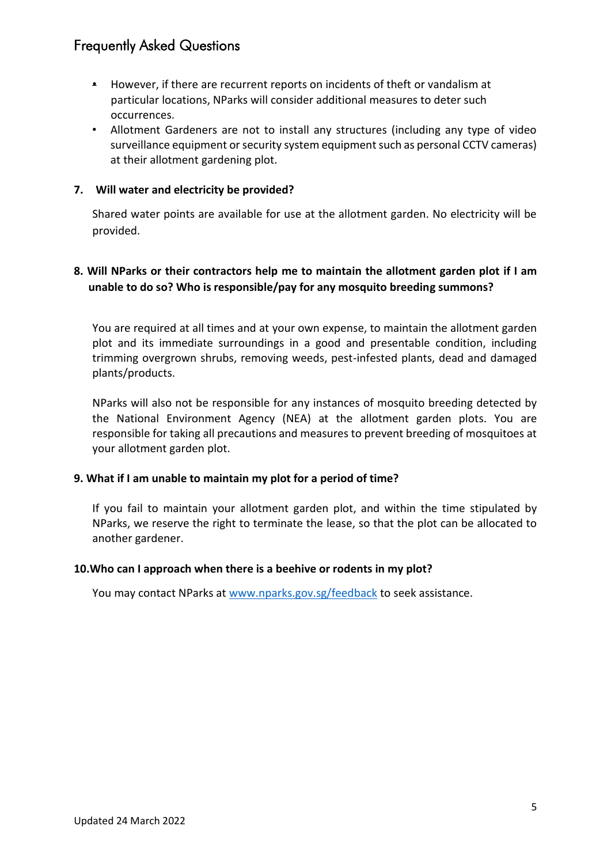- However, if there are recurrent reports on incidents of theft or vandalism at particular locations, NParks will consider additional measures to deter such occurrences.
- Allotment Gardeners are not to install any structures (including any type of video surveillance equipment or security system equipment such as personal CCTV cameras) at their allotment gardening plot.

#### **7. Will water and electricity be provided?**

Shared water points are available for use at the allotment garden. No electricity will be provided.

## **8. Will NParks or their contractors help me to maintain the allotment garden plot if I am unable to do so? Who is responsible/pay for any mosquito breeding summons?**

You are required at all times and at your own expense, to maintain the allotment garden plot and its immediate surroundings in a good and presentable condition, including trimming overgrown shrubs, removing weeds, pest-infested plants, dead and damaged plants/products.

NParks will also not be responsible for any instances of mosquito breeding detected by the National Environment Agency (NEA) at the allotment garden plots. You are responsible for taking all precautions and measures to prevent breeding of mosquitoes at your allotment garden plot.

#### **9. What if I am unable to maintain my plot for a period of time?**

If you fail to maintain your allotment garden plot, and within the time stipulated by NParks, we reserve the right to terminate the lease, so that the plot can be allocated to another gardener.

#### **10.Who can I approach when there is a beehive or rodents in my plot?**

You may contact NParks at [www.nparks.gov.sg/feedback](http://www.nparks.gov.sg/feedback) to seek assistance.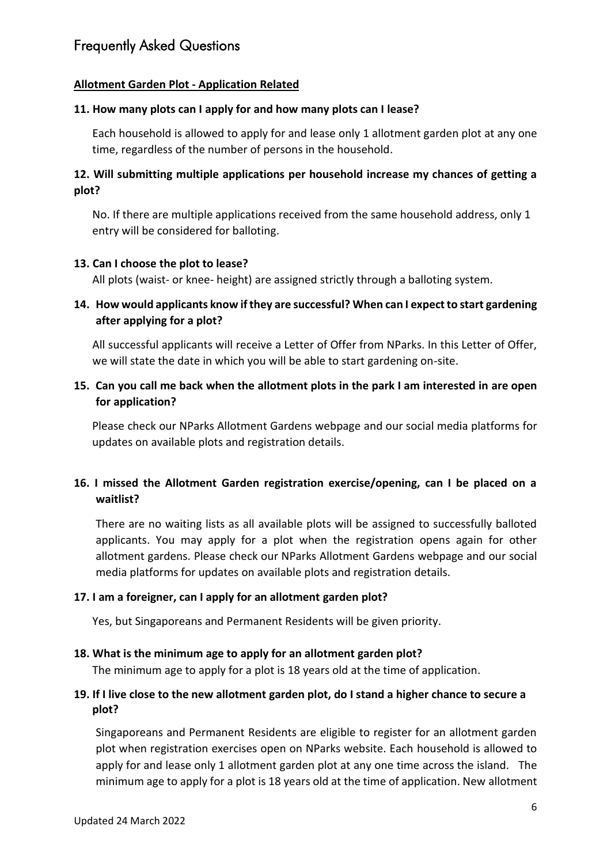## **Allotment Garden Plot - Application Related**

#### **11. How many plots can I apply for and how many plots can I lease?**

Each household is allowed to apply for and lease only 1 allotment garden plot at any one time, regardless of the number of persons in the household.

## **12. Will submitting multiple applications per household increase my chances of getting a plot?**

No. If there are multiple applications received from the same household address, only 1 entry will be considered for balloting.

#### **13. Can I choose the plot to lease?**

All plots (waist- or knee- height) are assigned strictly through a balloting system.

## **14. How would applicants know if they are successful? When can I expect to start gardening after applying for a plot?**

All successful applicants will receive a Letter of Offer from NParks. In this Letter of Offer, we will state the date in which you will be able to start gardening on-site.

## **15. Can you call me back when the allotment plots in the park I am interested in are open for application?**

Please check our NParks Allotment Gardens webpage and our social media platforms for updates on available plots and registration details.

## **16. I missed the Allotment Garden registration exercise/opening, can I be placed on a waitlist?**

There are no waiting lists as all available plots will be assigned to successfully balloted applicants. You may apply for a plot when the registration opens again for other allotment gardens. Please check our NParks Allotment Gardens webpage and our social media platforms for updates on available plots and registration details.

#### **17. I am a foreigner, can I apply for an allotment garden plot?**

Yes, but Singaporeans and Permanent Residents will be given priority.

## **18. What is the minimum age to apply for an allotment garden plot?**

The minimum age to apply for a plot is 18 years old at the time of application.

#### **19. If I live close to the new allotment garden plot, do I stand a higher chance to secure a plot?**

Singaporeans and Permanent Residents are eligible to register for an allotment garden plot when registration exercises open on NParks website. Each household is allowed to apply for and lease only 1 allotment garden plot at any one time across the island. The minimum age to apply for a plot is 18 years old at the time of application. New allotment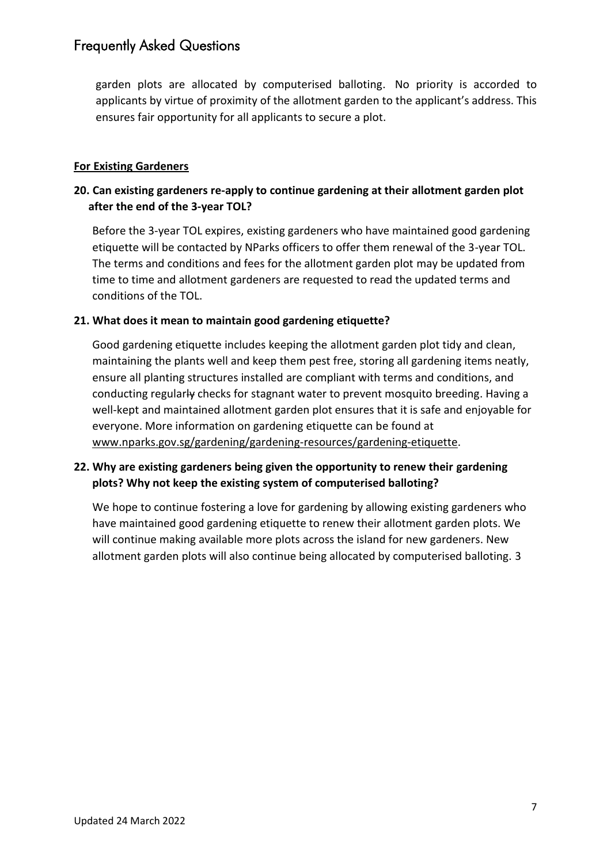garden plots are allocated by computerised balloting. No priority is accorded to applicants by virtue of proximity of the allotment garden to the applicant's address. This ensures fair opportunity for all applicants to secure a plot.

#### **For Existing Gardeners**

## **20. Can existing gardeners re-apply to continue gardening at their allotment garden plot after the end of the 3-year TOL?**

Before the 3-year TOL expires, existing gardeners who have maintained good gardening etiquette will be contacted by NParks officers to offer them renewal of the 3-year TOL. The terms and conditions and fees for the allotment garden plot may be updated from time to time and allotment gardeners are requested to read the updated terms and conditions of the TOL.

#### **21. What does it mean to maintain good gardening etiquette?**

Good gardening etiquette includes keeping the allotment garden plot tidy and clean, maintaining the plants well and keep them pest free, storing all gardening items neatly, ensure all planting structures installed are compliant with terms and conditions, and conducting regularly checks for stagnant water to prevent mosquito breeding. Having a well-kept and maintained allotment garden plot ensures that it is safe and enjoyable for everyone. More information on gardening etiquette can be found at [www.nparks.gov.sg/gardening/gardening-resources/gardening-etiquette.](http://www.nparks.gov.sg/gardening/gardening-resources/gardening-etiquette)

## **22. Why are existing gardeners being given the opportunity to renew their gardening plots? Why not keep the existing system of computerised balloting?**

We hope to continue fostering a love for gardening by allowing existing gardeners who have maintained good gardening etiquette to renew their allotment garden plots. We will continue making available more plots across the island for new gardeners. New allotment garden plots will also continue being allocated by computerised balloting. 3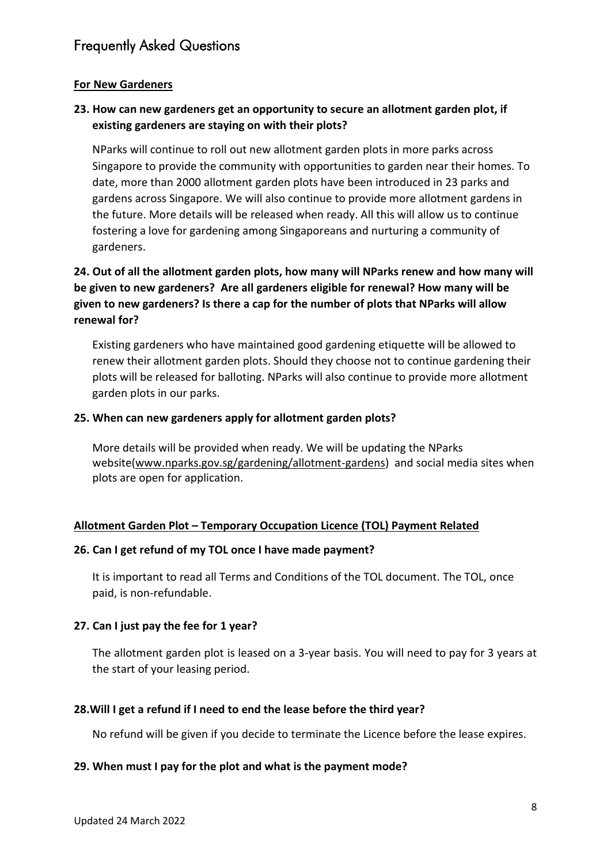## **For New Gardeners**

## **23. How can new gardeners get an opportunity to secure an allotment garden plot, if existing gardeners are staying on with their plots?**

NParks will continue to roll out new allotment garden plots in more parks across Singapore to provide the community with opportunities to garden near their homes. To date, more than 2000 allotment garden plots have been introduced in 23 parks and gardens across Singapore. We will also continue to provide more allotment gardens in the future. More details will be released when ready. All this will allow us to continue fostering a love for gardening among Singaporeans and nurturing a community of gardeners.

## **24. Out of all the allotment garden plots, how many will NParks renew and how many will be given to new gardeners? Are all gardeners eligible for renewal? How many will be given to new gardeners? Is there a cap for the number of plots that NParks will allow renewal for?**

Existing gardeners who have maintained good gardening etiquette will be allowed to renew their allotment garden plots. Should they choose not to continue gardening their plots will be released for balloting. NParks will also continue to provide more allotment garden plots in our parks.

## **25. When can new gardeners apply for allotment garden plots?**

More details will be provided when ready. We will be updating the NParks website[\(www.nparks.gov.sg/gardening/allotment-gardens\)](http://www.nparks.gov.sg/gardening/allotment-gardens) and social media sites when plots are open for application.

## **Allotment Garden Plot – Temporary Occupation Licence (TOL) Payment Related**

## **26. Can I get refund of my TOL once I have made payment?**

It is important to read all Terms and Conditions of the TOL document. The TOL, once paid, is non-refundable.

## **27. Can I just pay the fee for 1 year?**

The allotment garden plot is leased on a 3-year basis. You will need to pay for 3 years at the start of your leasing period.

## **28.Will I get a refund if I need to end the lease before the third year?**

No refund will be given if you decide to terminate the Licence before the lease expires.

## **29. When must I pay for the plot and what is the payment mode?**